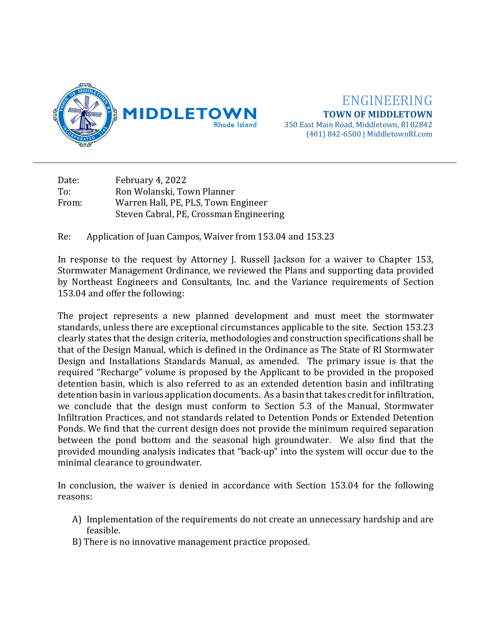

ENGINEERING **TOWN OF MIDDLETOWN** 350 East Main Road, Middletown, RI 02842 (401) 842-6500 | MiddletownRI.com

Date: February 4, 2022<br>To: Ron Wolanski, To To: Ron Wolanski, Town Planner<br>From: Warren Hall, PE, PLS, Town E Warren Hall, PE, PLS, Town Engineer Steven Cabral, PE, Crossman Engineering

Re: Application of Juan Campos, Waiver from 153.04 and 153.23

In response to the request by Attorney J. Russell Jackson for a waiver to Chapter 153, Stormwater Management Ordinance, we reviewed the Plans and supporting data provided by Northeast Engineers and Consultants, Inc. and the Variance requirements of Section 153.04 and offer the following:

The project represents a new planned development and must meet the stormwater standards, unless there are exceptional circumstances applicable to the site. Section 153.23 clearly states that the design criteria, methodologies and construction specifications shall be that of the Design Manual, which is defined in the Ordinance as The State of RI Stormwater Design and Installations Standards Manual, as amended. The primary issue is that the required "Recharge" volume is proposed by the Applicant to be provided in the proposed detention basin, which is also referred to as an extended detention basin and infiltrating detention basin in various application documents. As a basin that takes credit for infiltration, we conclude that the design must conform to Section 5.3 of the Manual, Stormwater Infiltration Practices, and not standards related to Detention Ponds or Extended Detention Ponds. We find that the current design does not provide the minimum required separation between the pond bottom and the seasonal high groundwater. We also find that the provided mounding analysis indicates that "back-up" into the system will occur due to the minimal clearance to groundwater.

In conclusion, the waiver is denied in accordance with Section 153.04 for the following reasons:

- A) Implementation of the requirements do not create an unnecessary hardship and are feasible.
- B) There is no innovative management practice proposed.